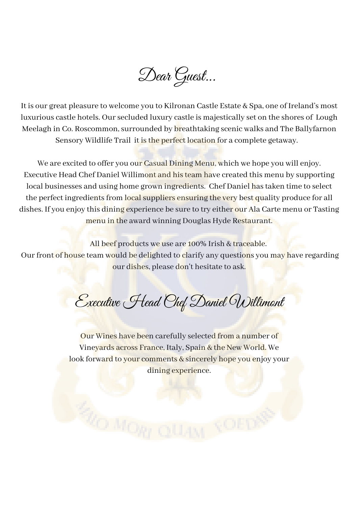Dear Guest...

It is our great pleasure to welcome you to Kilronan Castle Estate & Spa, one of Ireland's most luxurious castle hotels. Oursecluded luxury castle is majestically set on the shores of Lough Meelagh in Co. Roscommon, surrounded by breathtaking scenic walks and The Ballyfarnon Sensory Wildlife Trail it is the perfect location for a complete getaway.

We are excited to offer you our Casual Dining Menu, which we hope you will enjoy. Executive Head Chef Daniel Willimont and histeam have created this menu by supporting local businesses and using home grown ingredients. Chef Daniel has taken time to select the perfect ingredients from local suppliers ensuring the very best quality produce for all dishes. If you enjoy this dining experience be sure to try either our Ala Carte menu or Tasting menu in the award winning Douglas Hyde Restaurant.

All beef products we use are 100% Irish & traceable. Our front of house team would be delighted to clarify any questions you may have regarding our dishes, please don't hesitate to ask.

Executive Head Chef Daniel Willimont

Our Wines have been carefully selected from a number of Vineyards across France, Italy, Spain & the New World. We look forward to your comments & sincerely hope you enjoy your dining experience.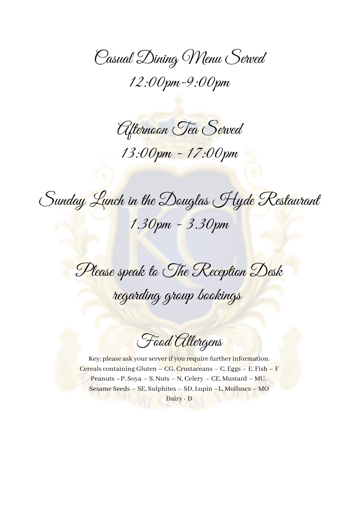Casual Dining Menu Served 12:00pm-9:00pm

Afternoon Tea Served 13:00pm - 17:00pm

Sunday Lunch in the Douglas Hyde Restaurant 1.30pm - 3.30pm

Please speak to The Reception Desk regarding group bookings

Food Allergens

Key; please ask your server if you require further information. Cereals containing Gluten – CG, Crustaceans – C, Eggs – E, Fish – F Peanuts – P, Soya – S, Nuts – N, Celery – CE, Mustard – MU, Sesame Seeds – SE, Sulphites – SD, Lupin –L, Molluscs – MO Dairy - D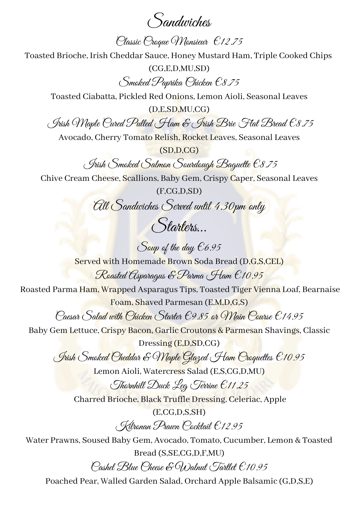Sandwiches

Classic Croque Monsieur €12.75

Toasted Brioche, Irish Cheddar Sauce, Honey Mustard Ham, Triple Cooked Chips

(CG,E,D,MU,SD) Smoked Paprika Chicken €8.75

Toasted Ciabatta, Pickled Red Onions, Lemon Aioli, Seasonal Leaves

(D,E,SD,MU,CG)

Irish Maple Cured Pulled Ham & Irish Brie Flat Bread €8.75

Avocado, Cherry Tomato Relish, Rocket Leaves, Seasonal Leaves

(SD,D,CG)

Irish Smoked Salmon Sourdough Baguette €8.75

Chive Cream Cheese, Scallions, Baby Gem, Crispy Caper, Seasonal Leaves

(F,CG,D,SD) All Sandwiches Served until 4.30pm only

Starters…

Soup of the day  $\epsilon$ 6.95 Served with Homemade Brown Soda Bread (D,G,S,CEL) Roasted Asparagus & Parma Ham €10.95

Roasted Parma Ham, Wrapped Asparagus Tips, Toasted Tiger Vienna Loaf, Bearnaise Foam, Shaved Parmesan (E,M,D,G,S)

Caesar Salad with Chicken Starter €9.85 or Main Course €14.95

Baby Gem Lettuce, Crispy Bacon, Garlic Croutons & Parmesan Shavings, Classic

Dressing (E,D,SD,CG)

Irish Smoked Cheddar & Maple Glazed Ham Croquettes €10.95

Lemon Aioli, Watercress Salad (E,S,CG,D,MU)

Thornhill Duck Leg Terrine €11.25 Charred Brioche, Black Truffle Dressing, Celeriac, Apple

(E,CG,D,S,SH)

Kilronan Prawn Cocktail €12.95

Water Prawns, Soused Baby Gem, Avocado, Tomato, Cucumber, Lemon & Toasted Bread (S,SE,CG,D,F,MU) Cashel Blue Cheese & Walnut Tartlet €10.95

Poached Pear, Walled Garden Salad, Orchard Apple Balsamic (G,D,S,E)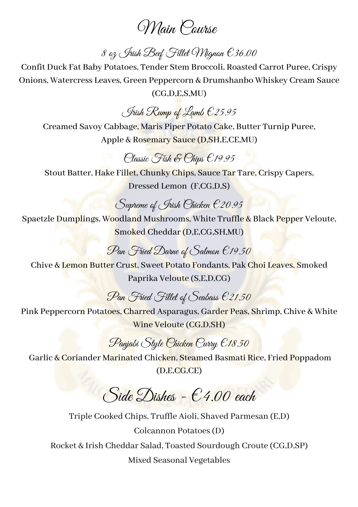## Main Course

8 oz Jrish Beef Fillet Wignon € 36.00

Confit Duck Fat Baby Potatoes, Tender Stem Broccoli, Roasted Carrot Puree, Crispy Onions, Watercress Leaves, Green Peppercorn & Drumshanbo Whiskey Cream Sauce (CG,D,E,S,MU)

Irish Rump of Lamb €25.95

Creamed Savoy Cabbage, Maris Piper Potato Cake, Butter Turnip Puree, Apple & Rosemary Sauce (D,SH,E,CE,MU)

#### Classic Fish & Chips €19.95

Stout Batter, Hake Fillet, Chunky Chips, Sauce Tar Tare, Crispy Capers, Dressed Lemon (F,CG,D,S)

#### Supreme of Irish Chicken €20.95

Spaetzle Dumplings, Woodland Mushrooms, White Truffle & Black Pepper Veloute, Smoked Cheddar(D,E,CG,SH,MU)

### Pan Fried Darne of Salmon €19.50

Chive & Lemon Butter Crust, Sweet Potato Fondants, Pak Choi Leaves, Smoked Paprika Veloute (S,E,D,CG)

Pan Fried Fillet of Seabass £21.50

Pink Peppercorn Potatoes, Charred Asparagus, Garder Peas, Shrimp, Chive & White Wine Veloute (CG,D,SH)

### Panjabi Style Chicken Curry €18.50

Garlic & Coriander Marinated Chicken, Steamed Basmati Rice, Fried Poppadom (D,E,CG,CE)

# $Side\, Dishes - 64.00$  each

Triple Cooked Chips, Truffle Aioli, Shaved Parmesan (E,D) Colcannon Potatoes(D) Rocket & Irish Cheddar Salad, Toasted Sourdough Croute (CG,D,SP) Mixed Seasonal Vegetables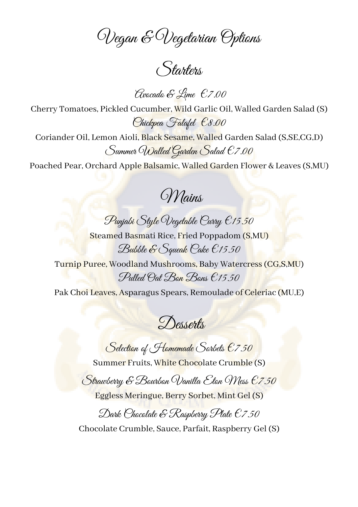Vegan & Vegetarian Options

Starters

Avocado & Lime €7.00

Cherry Tomatoes, Pickled Cucumber, Wild Garlic Oil, Walled Garden Salad (S) Chickpea Falafel €8.00

Coriander Oil, Lemon Aioli, Black Sesame, Walled Garden Salad (S,SE,CG,D) Summer Walled Garden Salad €7.00

Poached Pear, Orchard Apple Balsamic, Walled Garden Flower & Leaves (S,MU)

Mains

Punjabi Style Vegetable Curry €15.50 Steamed Basmati Rice, Fried Poppadom (S,MU)

Bubble & Squeak Cake €15.50 Turnip Puree, Woodland Mushrooms, Baby Watercress(CG,S,MU) Pulled Oat Bon Bons €15.50

Pak Choi Leaves, Asparagus Spears, Remoulade of Celeriac (MU,E)

Desserts

Selection of Homemade Sorbets  $\epsilon$ 7.50 Summer Fruits, White Chocolate Crumble (S)

Strawberry & Bourbon Vanilla Eton Wess  $\epsilon$ 7.50

Eggless Meringue, Berry Sorbet, Mint Gel (S)

Dark Chocolate & Raspberry Plate €7.50 Chocolate Crumble, Sauce, Parfait, Raspberry Gel (S)